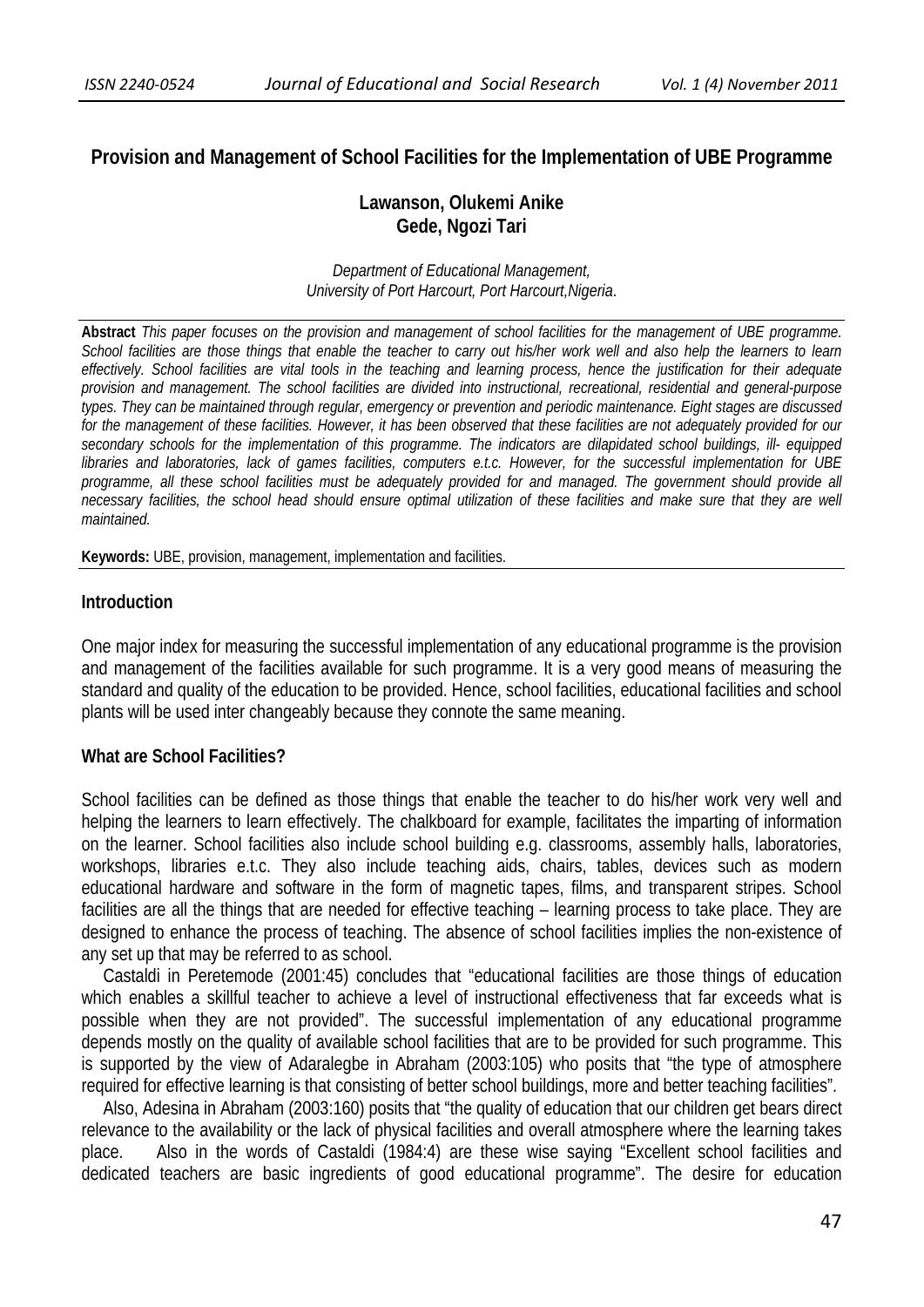# **Provision and Management of School Facilities for the Implementation of UBE Programme**

# **Lawanson, Olukemi Anike Gede, Ngozi Tari**

*Department of Educational Management, University of Port Harcourt, Port Harcourt,Nigeria*.

**Abstract** *This paper focuses on the provision and management of school facilities for the management of UBE programme. School facilities are those things that enable the teacher to carry out his/her work well and also help the learners to learn effectively. School facilities are vital tools in the teaching and learning process, hence the justification for their adequate provision and management. The school facilities are divided into instructional, recreational, residential and general-purpose types. They can be maintained through regular, emergency or prevention and periodic maintenance. Eight stages are discussed for the management of these facilities. However, it has been observed that these facilities are not adequately provided for our secondary schools for the implementation of this programme. The indicators are dilapidated school buildings, ill- equipped libraries and laboratories, lack of games facilities, computers e.t.c. However, for the successful implementation for UBE*  programme, all these school facilities must be adequately provided for and managed. The government should provide all *necessary facilities, the school head should ensure optimal utilization of these facilities and make sure that they are well maintained.*

**Keywords:** UBE, provision, management, implementation and facilities.

#### **Introduction**

One major index for measuring the successful implementation of any educational programme is the provision and management of the facilities available for such programme. It is a very good means of measuring the standard and quality of the education to be provided. Hence, school facilities, educational facilities and school plants will be used inter changeably because they connote the same meaning.

# **What are School Facilities?**

School facilities can be defined as those things that enable the teacher to do his/her work very well and helping the learners to learn effectively. The chalkboard for example, facilitates the imparting of information on the learner. School facilities also include school building e.g. classrooms, assembly halls, laboratories, workshops, libraries e.t.c. They also include teaching aids, chairs, tables, devices such as modern educational hardware and software in the form of magnetic tapes, films, and transparent stripes. School facilities are all the things that are needed for effective teaching – learning process to take place. They are designed to enhance the process of teaching. The absence of school facilities implies the non-existence of any set up that may be referred to as school.

 Castaldi in Peretemode (2001:45) concludes that "educational facilities are those things of education which enables a skillful teacher to achieve a level of instructional effectiveness that far exceeds what is possible when they are not provided". The successful implementation of any educational programme depends mostly on the quality of available school facilities that are to be provided for such programme. This is supported by the view of Adaralegbe in Abraham (2003:105) who posits that "the type of atmosphere required for effective learning is that consisting of better school buildings, more and better teaching facilities".

 Also, Adesina in Abraham (2003:160) posits that "the quality of education that our children get bears direct relevance to the availability or the lack of physical facilities and overall atmosphere where the learning takes place. Also in the words of Castaldi (1984:4) are these wise saying "Excellent school facilities and dedicated teachers are basic ingredients of good educational programme". The desire for education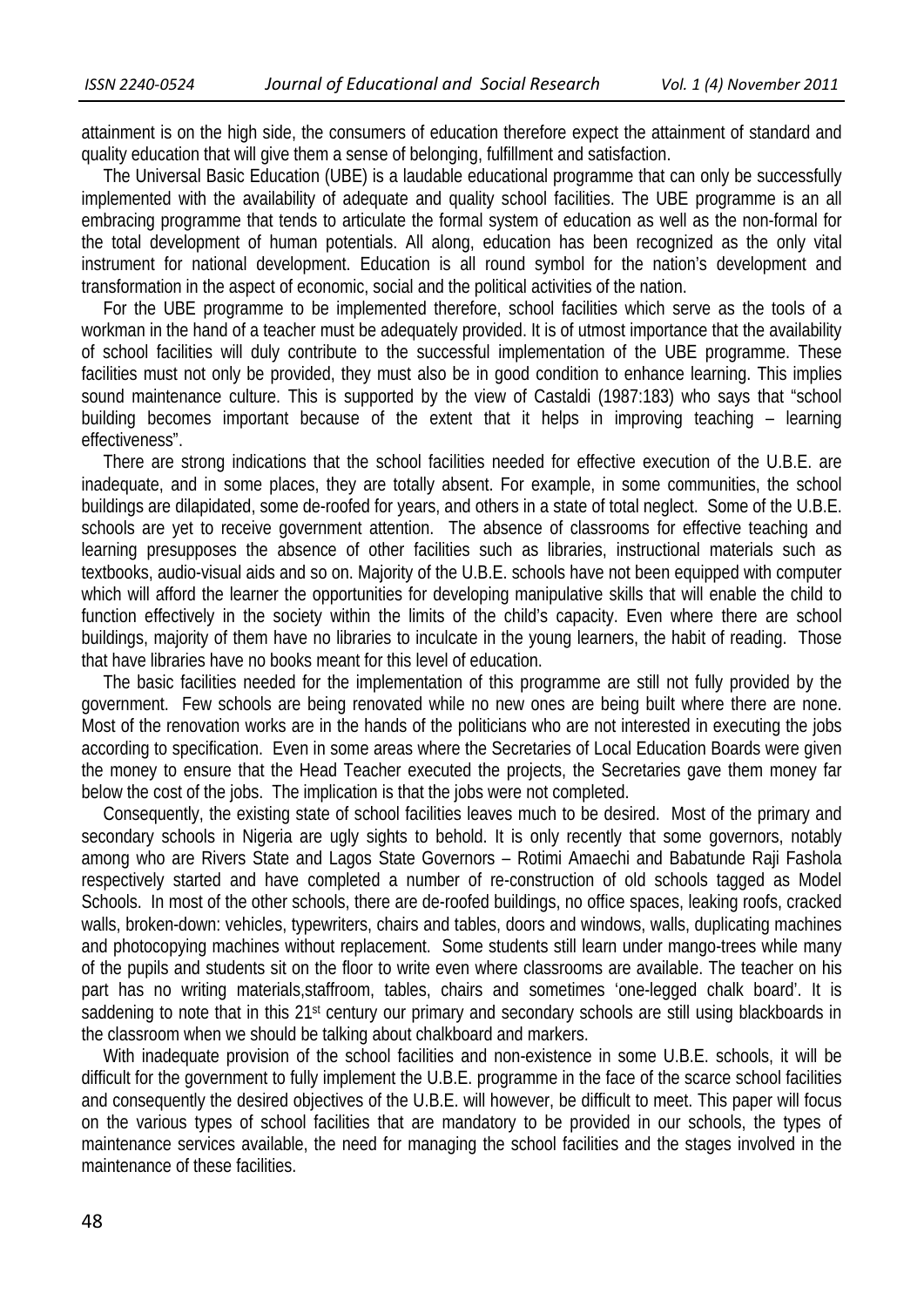attainment is on the high side, the consumers of education therefore expect the attainment of standard and quality education that will give them a sense of belonging, fulfillment and satisfaction.

 The Universal Basic Education (UBE) is a laudable educational programme that can only be successfully implemented with the availability of adequate and quality school facilities. The UBE programme is an all embracing programme that tends to articulate the formal system of education as well as the non-formal for the total development of human potentials. All along, education has been recognized as the only vital instrument for national development. Education is all round symbol for the nation's development and transformation in the aspect of economic, social and the political activities of the nation.

 For the UBE programme to be implemented therefore, school facilities which serve as the tools of a workman in the hand of a teacher must be adequately provided. It is of utmost importance that the availability of school facilities will duly contribute to the successful implementation of the UBE programme. These facilities must not only be provided, they must also be in good condition to enhance learning. This implies sound maintenance culture. This is supported by the view of Castaldi (1987:183) who says that "school building becomes important because of the extent that it helps in improving teaching – learning effectiveness".

 There are strong indications that the school facilities needed for effective execution of the U.B.E. are inadequate, and in some places, they are totally absent. For example, in some communities, the school buildings are dilapidated, some de-roofed for years, and others in a state of total neglect. Some of the U.B.E. schools are yet to receive government attention. The absence of classrooms for effective teaching and learning presupposes the absence of other facilities such as libraries, instructional materials such as textbooks, audio-visual aids and so on. Majority of the U.B.E. schools have not been equipped with computer which will afford the learner the opportunities for developing manipulative skills that will enable the child to function effectively in the society within the limits of the child's capacity. Even where there are school buildings, majority of them have no libraries to inculcate in the young learners, the habit of reading. Those that have libraries have no books meant for this level of education.

 The basic facilities needed for the implementation of this programme are still not fully provided by the government. Few schools are being renovated while no new ones are being built where there are none. Most of the renovation works are in the hands of the politicians who are not interested in executing the jobs according to specification. Even in some areas where the Secretaries of Local Education Boards were given the money to ensure that the Head Teacher executed the projects, the Secretaries gave them money far below the cost of the jobs. The implication is that the jobs were not completed.

 Consequently, the existing state of school facilities leaves much to be desired. Most of the primary and secondary schools in Nigeria are ugly sights to behold. It is only recently that some governors, notably among who are Rivers State and Lagos State Governors – Rotimi Amaechi and Babatunde Raji Fashola respectively started and have completed a number of re-construction of old schools tagged as Model Schools. In most of the other schools, there are de-roofed buildings, no office spaces, leaking roofs, cracked walls, broken-down: vehicles, typewriters, chairs and tables, doors and windows, walls, duplicating machines and photocopying machines without replacement. Some students still learn under mango-trees while many of the pupils and students sit on the floor to write even where classrooms are available. The teacher on his part has no writing materials,staffroom, tables, chairs and sometimes 'one-legged chalk board'. It is saddening to note that in this 21<sup>st</sup> century our primary and secondary schools are still using blackboards in the classroom when we should be talking about chalkboard and markers.

 With inadequate provision of the school facilities and non-existence in some U.B.E. schools, it will be difficult for the government to fully implement the U.B.E. programme in the face of the scarce school facilities and consequently the desired objectives of the U.B.E. will however, be difficult to meet. This paper will focus on the various types of school facilities that are mandatory to be provided in our schools, the types of maintenance services available, the need for managing the school facilities and the stages involved in the maintenance of these facilities.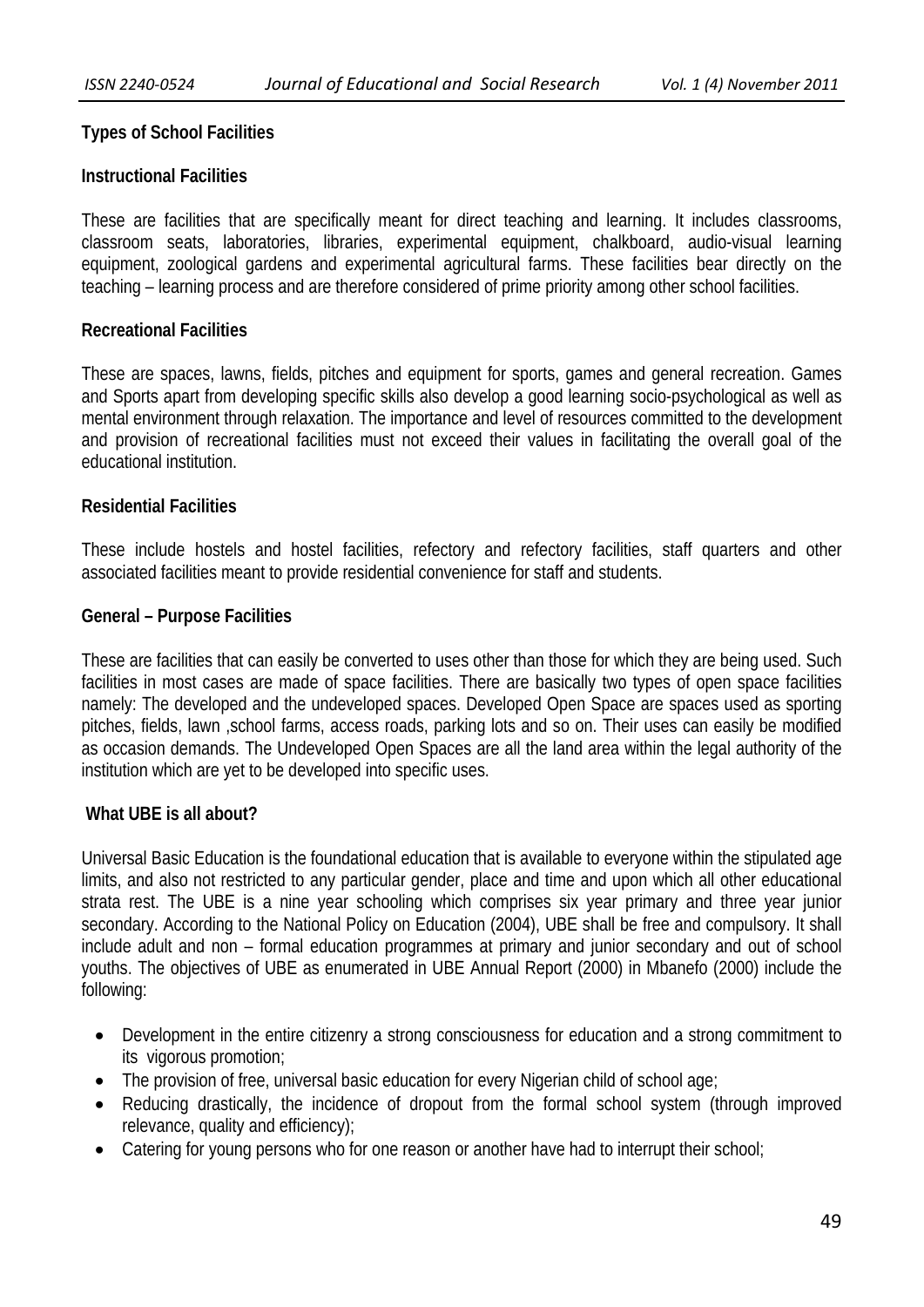## **Types of School Facilities**

## **Instructional Facilities**

These are facilities that are specifically meant for direct teaching and learning. It includes classrooms, classroom seats, laboratories, libraries, experimental equipment, chalkboard, audio-visual learning equipment, zoological gardens and experimental agricultural farms. These facilities bear directly on the teaching – learning process and are therefore considered of prime priority among other school facilities.

### **Recreational Facilities**

These are spaces, lawns, fields, pitches and equipment for sports, games and general recreation. Games and Sports apart from developing specific skills also develop a good learning socio-psychological as well as mental environment through relaxation. The importance and level of resources committed to the development and provision of recreational facilities must not exceed their values in facilitating the overall goal of the educational institution.

#### **Residential Facilities**

These include hostels and hostel facilities, refectory and refectory facilities, staff quarters and other associated facilities meant to provide residential convenience for staff and students.

#### **General – Purpose Facilities**

These are facilities that can easily be converted to uses other than those for which they are being used. Such facilities in most cases are made of space facilities. There are basically two types of open space facilities namely: The developed and the undeveloped spaces. Developed Open Space are spaces used as sporting pitches, fields, lawn ,school farms, access roads, parking lots and so on. Their uses can easily be modified as occasion demands. The Undeveloped Open Spaces are all the land area within the legal authority of the institution which are yet to be developed into specific uses.

#### **What UBE is all about?**

Universal Basic Education is the foundational education that is available to everyone within the stipulated age limits, and also not restricted to any particular gender, place and time and upon which all other educational strata rest. The UBE is a nine year schooling which comprises six year primary and three year junior secondary. According to the National Policy on Education (2004), UBE shall be free and compulsory. It shall include adult and non – formal education programmes at primary and junior secondary and out of school youths. The objectives of UBE as enumerated in UBE Annual Report (2000) in Mbanefo (2000) include the following:

- Development in the entire citizenry a strong consciousness for education and a strong commitment to its vigorous promotion;
- The provision of free, universal basic education for every Nigerian child of school age;
- Reducing drastically, the incidence of dropout from the formal school system (through improved relevance, quality and efficiency);
- Catering for young persons who for one reason or another have had to interrupt their school;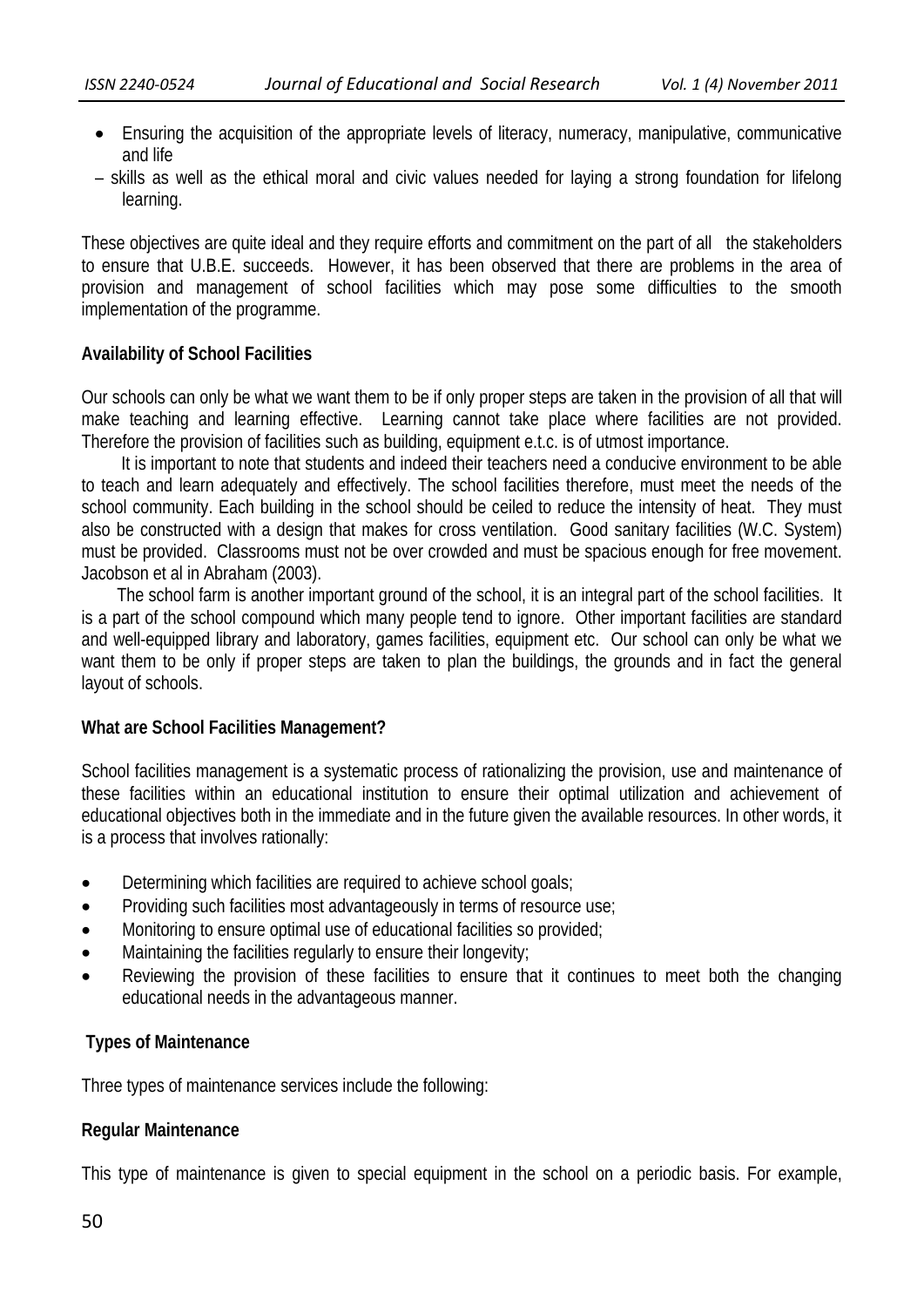- Ensuring the acquisition of the appropriate levels of literacy, numeracy, manipulative, communicative and life
- skills as well as the ethical moral and civic values needed for laying a strong foundation for lifelong learning.

These objectives are quite ideal and they require efforts and commitment on the part of all the stakeholders to ensure that U.B.E. succeeds. However, it has been observed that there are problems in the area of provision and management of school facilities which may pose some difficulties to the smooth implementation of the programme.

## **Availability of School Facilities**

Our schools can only be what we want them to be if only proper steps are taken in the provision of all that will make teaching and learning effective. Learning cannot take place where facilities are not provided. Therefore the provision of facilities such as building, equipment e.t.c. is of utmost importance.

 It is important to note that students and indeed their teachers need a conducive environment to be able to teach and learn adequately and effectively. The school facilities therefore, must meet the needs of the school community. Each building in the school should be ceiled to reduce the intensity of heat. They must also be constructed with a design that makes for cross ventilation. Good sanitary facilities (W.C. System) must be provided. Classrooms must not be over crowded and must be spacious enough for free movement. Jacobson et al in Abraham (2003).

 The school farm is another important ground of the school, it is an integral part of the school facilities. It is a part of the school compound which many people tend to ignore. Other important facilities are standard and well-equipped library and laboratory, games facilities, equipment etc. Our school can only be what we want them to be only if proper steps are taken to plan the buildings, the grounds and in fact the general layout of schools.

# **What are School Facilities Management?**

School facilities management is a systematic process of rationalizing the provision, use and maintenance of these facilities within an educational institution to ensure their optimal utilization and achievement of educational objectives both in the immediate and in the future given the available resources. In other words, it is a process that involves rationally:

- Determining which facilities are required to achieve school goals;
- Providing such facilities most advantageously in terms of resource use;
- Monitoring to ensure optimal use of educational facilities so provided;
- Maintaining the facilities regularly to ensure their longevity;
- Reviewing the provision of these facilities to ensure that it continues to meet both the changing educational needs in the advantageous manner.

# **Types of Maintenance**

Three types of maintenance services include the following:

#### **Regular Maintenance**

This type of maintenance is given to special equipment in the school on a periodic basis. For example,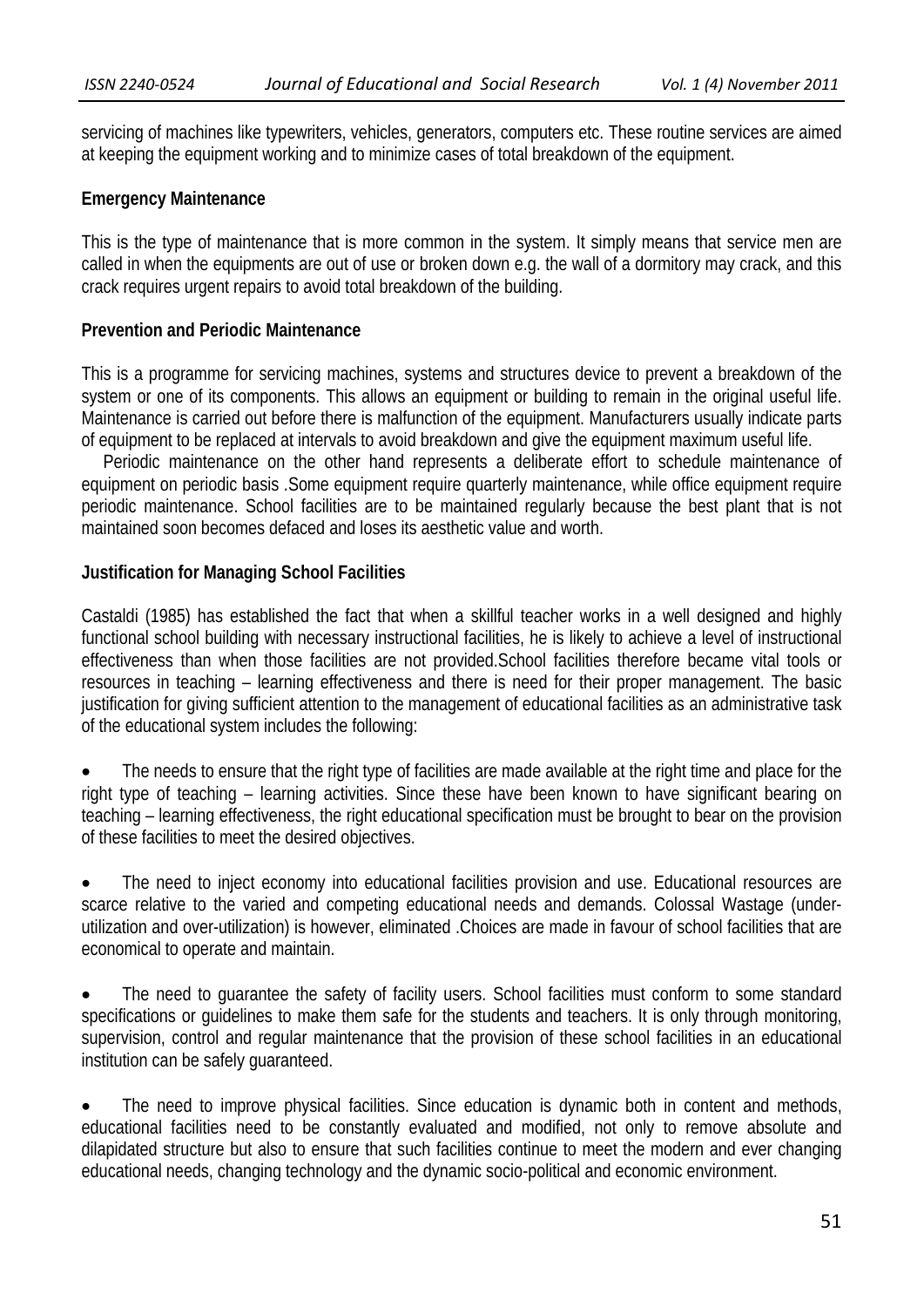servicing of machines like typewriters, vehicles, generators, computers etc. These routine services are aimed at keeping the equipment working and to minimize cases of total breakdown of the equipment.

#### **Emergency Maintenance**

This is the type of maintenance that is more common in the system. It simply means that service men are called in when the equipments are out of use or broken down e.g. the wall of a dormitory may crack, and this crack requires urgent repairs to avoid total breakdown of the building.

#### **Prevention and Periodic Maintenance**

This is a programme for servicing machines, systems and structures device to prevent a breakdown of the system or one of its components. This allows an equipment or building to remain in the original useful life. Maintenance is carried out before there is malfunction of the equipment. Manufacturers usually indicate parts of equipment to be replaced at intervals to avoid breakdown and give the equipment maximum useful life.

 Periodic maintenance on the other hand represents a deliberate effort to schedule maintenance of equipment on periodic basis .Some equipment require quarterly maintenance, while office equipment require periodic maintenance. School facilities are to be maintained regularly because the best plant that is not maintained soon becomes defaced and loses its aesthetic value and worth.

#### **Justification for Managing School Facilities**

Castaldi (1985) has established the fact that when a skillful teacher works in a well designed and highly functional school building with necessary instructional facilities, he is likely to achieve a level of instructional effectiveness than when those facilities are not provided.School facilities therefore became vital tools or resources in teaching – learning effectiveness and there is need for their proper management. The basic justification for giving sufficient attention to the management of educational facilities as an administrative task of the educational system includes the following:

 The needs to ensure that the right type of facilities are made available at the right time and place for the right type of teaching – learning activities. Since these have been known to have significant bearing on teaching – learning effectiveness, the right educational specification must be brought to bear on the provision of these facilities to meet the desired objectives.

 The need to inject economy into educational facilities provision and use. Educational resources are scarce relative to the varied and competing educational needs and demands. Colossal Wastage (underutilization and over-utilization) is however, eliminated .Choices are made in favour of school facilities that are economical to operate and maintain.

 The need to guarantee the safety of facility users. School facilities must conform to some standard specifications or guidelines to make them safe for the students and teachers. It is only through monitoring, supervision, control and regular maintenance that the provision of these school facilities in an educational institution can be safely guaranteed.

 The need to improve physical facilities. Since education is dynamic both in content and methods, educational facilities need to be constantly evaluated and modified, not only to remove absolute and dilapidated structure but also to ensure that such facilities continue to meet the modern and ever changing educational needs, changing technology and the dynamic socio-political and economic environment.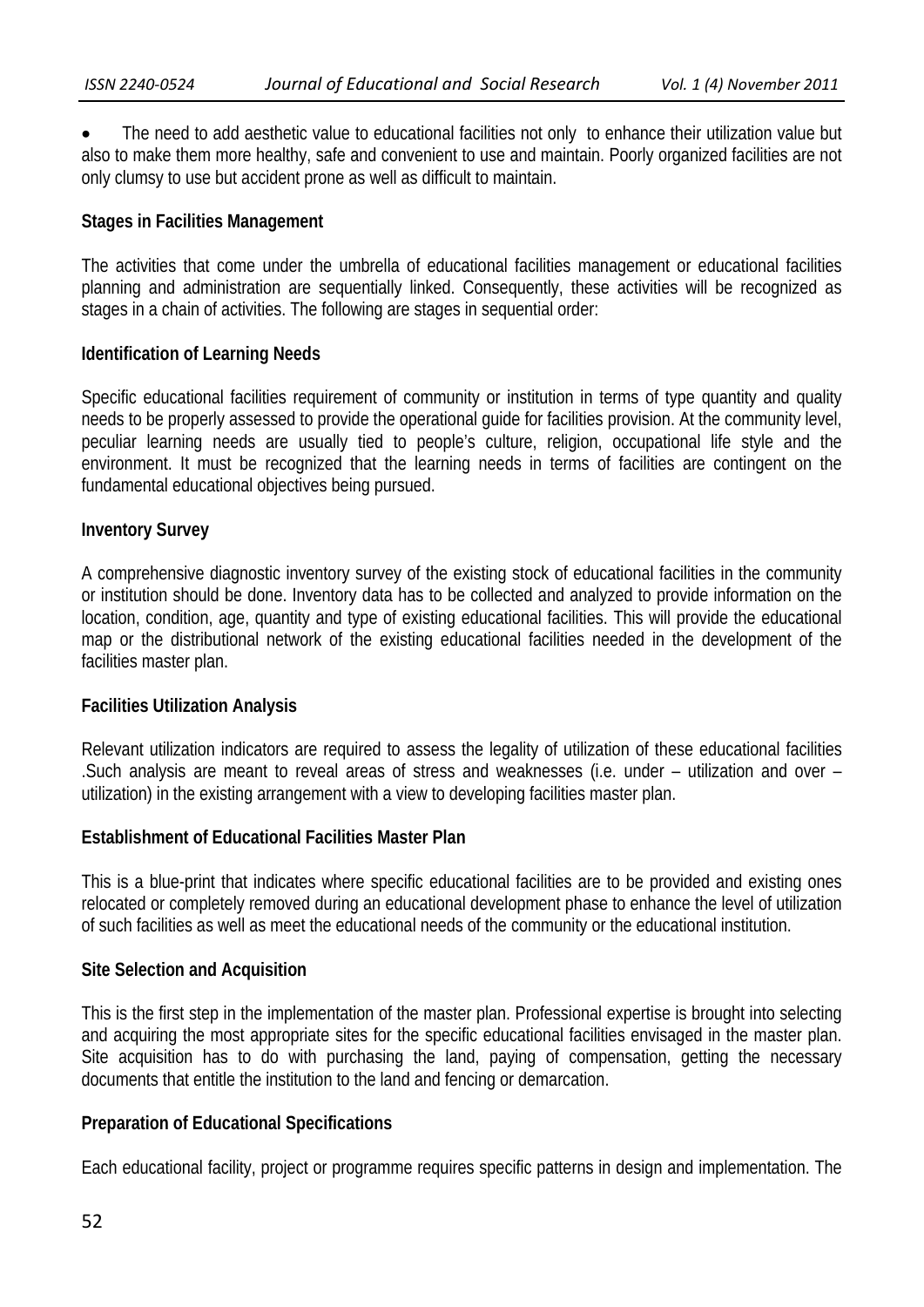The need to add aesthetic value to educational facilities not only to enhance their utilization value but also to make them more healthy, safe and convenient to use and maintain. Poorly organized facilities are not only clumsy to use but accident prone as well as difficult to maintain.

# **Stages in Facilities Management**

The activities that come under the umbrella of educational facilities management or educational facilities planning and administration are sequentially linked. Consequently, these activities will be recognized as stages in a chain of activities. The following are stages in sequential order:

# **Identification of Learning Needs**

Specific educational facilities requirement of community or institution in terms of type quantity and quality needs to be properly assessed to provide the operational guide for facilities provision. At the community level, peculiar learning needs are usually tied to people's culture, religion, occupational life style and the environment. It must be recognized that the learning needs in terms of facilities are contingent on the fundamental educational objectives being pursued.

# **Inventory Survey**

A comprehensive diagnostic inventory survey of the existing stock of educational facilities in the community or institution should be done. Inventory data has to be collected and analyzed to provide information on the location, condition, age, quantity and type of existing educational facilities. This will provide the educational map or the distributional network of the existing educational facilities needed in the development of the facilities master plan.

# **Facilities Utilization Analysis**

Relevant utilization indicators are required to assess the legality of utilization of these educational facilities .Such analysis are meant to reveal areas of stress and weaknesses (i.e. under – utilization and over – utilization) in the existing arrangement with a view to developing facilities master plan.

# **Establishment of Educational Facilities Master Plan**

This is a blue-print that indicates where specific educational facilities are to be provided and existing ones relocated or completely removed during an educational development phase to enhance the level of utilization of such facilities as well as meet the educational needs of the community or the educational institution.

# **Site Selection and Acquisition**

This is the first step in the implementation of the master plan. Professional expertise is brought into selecting and acquiring the most appropriate sites for the specific educational facilities envisaged in the master plan. Site acquisition has to do with purchasing the land, paying of compensation, getting the necessary documents that entitle the institution to the land and fencing or demarcation.

# **Preparation of Educational Specifications**

Each educational facility, project or programme requires specific patterns in design and implementation. The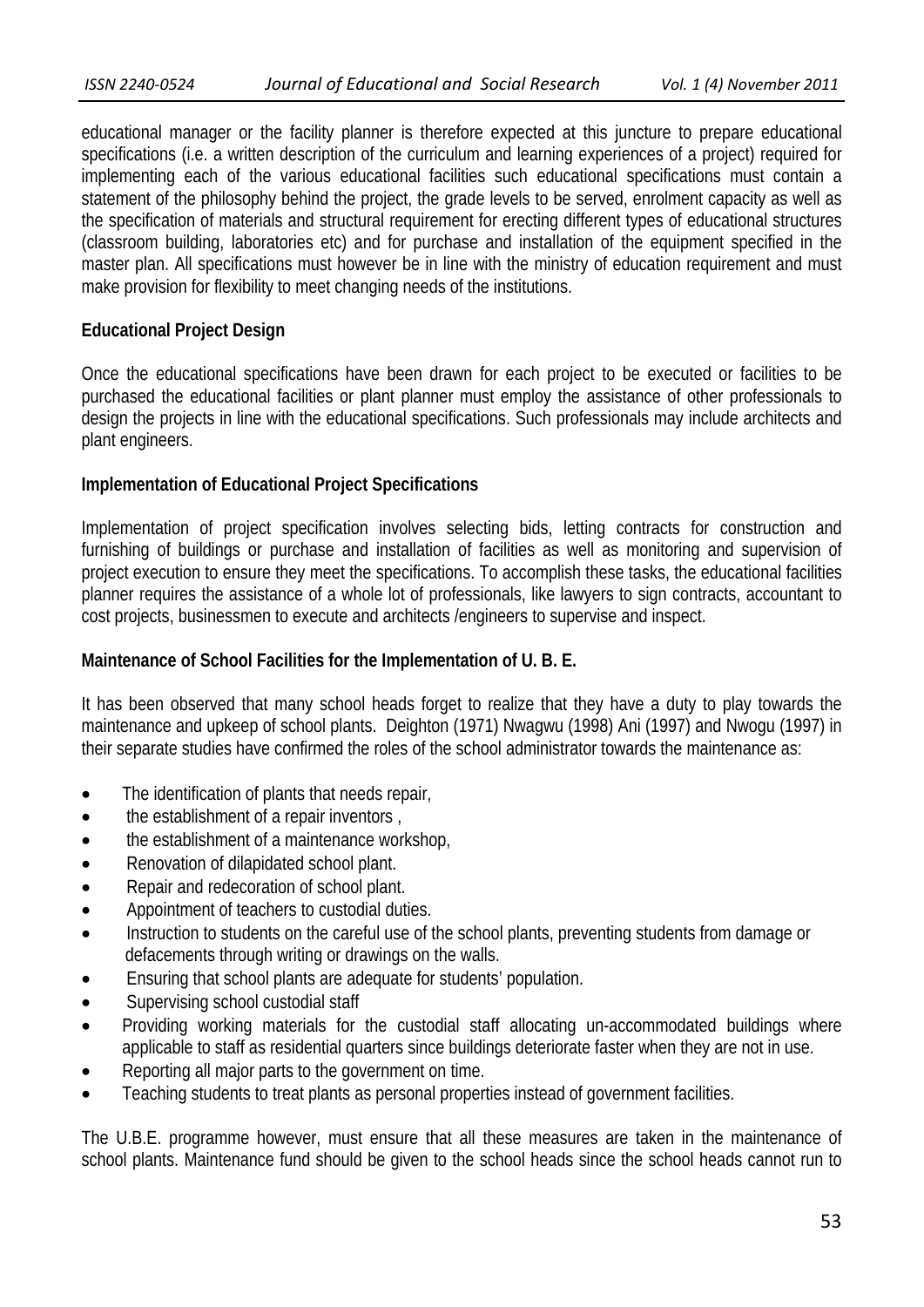educational manager or the facility planner is therefore expected at this juncture to prepare educational specifications (i.e. a written description of the curriculum and learning experiences of a project) required for implementing each of the various educational facilities such educational specifications must contain a statement of the philosophy behind the project, the grade levels to be served, enrolment capacity as well as the specification of materials and structural requirement for erecting different types of educational structures (classroom building, laboratories etc) and for purchase and installation of the equipment specified in the master plan. All specifications must however be in line with the ministry of education requirement and must make provision for flexibility to meet changing needs of the institutions.

## **Educational Project Design**

Once the educational specifications have been drawn for each project to be executed or facilities to be purchased the educational facilities or plant planner must employ the assistance of other professionals to design the projects in line with the educational specifications. Such professionals may include architects and plant engineers.

## **Implementation of Educational Project Specifications**

Implementation of project specification involves selecting bids, letting contracts for construction and furnishing of buildings or purchase and installation of facilities as well as monitoring and supervision of project execution to ensure they meet the specifications. To accomplish these tasks, the educational facilities planner requires the assistance of a whole lot of professionals, like lawyers to sign contracts, accountant to cost projects, businessmen to execute and architects /engineers to supervise and inspect.

### **Maintenance of School Facilities for the Implementation of U. B. E.**

It has been observed that many school heads forget to realize that they have a duty to play towards the maintenance and upkeep of school plants. Deighton (1971) Nwagwu (1998) Ani (1997) and Nwogu (1997) in their separate studies have confirmed the roles of the school administrator towards the maintenance as:

- The identification of plants that needs repair,
- the establishment of a repair inventors ,
- the establishment of a maintenance workshop,
- Renovation of dilapidated school plant.
- Repair and redecoration of school plant.
- Appointment of teachers to custodial duties.
- Instruction to students on the careful use of the school plants, preventing students from damage or defacements through writing or drawings on the walls.
- Ensuring that school plants are adequate for students' population.
- Supervising school custodial staff
- Providing working materials for the custodial staff allocating un-accommodated buildings where applicable to staff as residential quarters since buildings deteriorate faster when they are not in use.
- Reporting all major parts to the government on time.
- Teaching students to treat plants as personal properties instead of government facilities.

The U.B.E. programme however, must ensure that all these measures are taken in the maintenance of school plants. Maintenance fund should be given to the school heads since the school heads cannot run to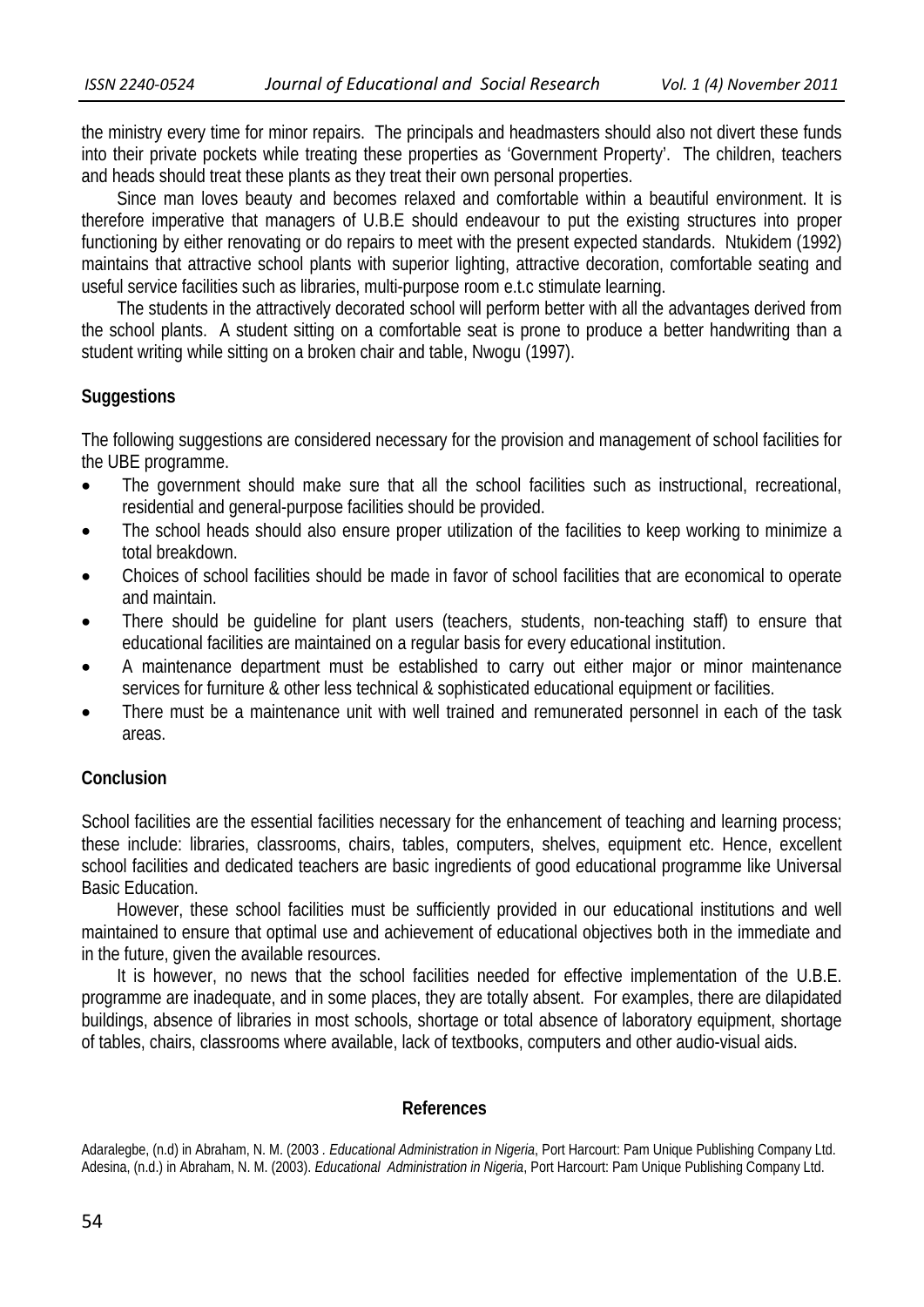the ministry every time for minor repairs. The principals and headmasters should also not divert these funds into their private pockets while treating these properties as 'Government Property'. The children, teachers and heads should treat these plants as they treat their own personal properties.

 Since man loves beauty and becomes relaxed and comfortable within a beautiful environment. It is therefore imperative that managers of U.B.E should endeavour to put the existing structures into proper functioning by either renovating or do repairs to meet with the present expected standards. Ntukidem (1992) maintains that attractive school plants with superior lighting, attractive decoration, comfortable seating and useful service facilities such as libraries, multi-purpose room e.t.c stimulate learning.

 The students in the attractively decorated school will perform better with all the advantages derived from the school plants. A student sitting on a comfortable seat is prone to produce a better handwriting than a student writing while sitting on a broken chair and table, Nwogu (1997).

## **Suggestions**

The following suggestions are considered necessary for the provision and management of school facilities for the UBE programme.

- The government should make sure that all the school facilities such as instructional, recreational, residential and general-purpose facilities should be provided.
- The school heads should also ensure proper utilization of the facilities to keep working to minimize a total breakdown.
- Choices of school facilities should be made in favor of school facilities that are economical to operate and maintain.
- There should be guideline for plant users (teachers, students, non-teaching staff) to ensure that educational facilities are maintained on a regular basis for every educational institution.
- A maintenance department must be established to carry out either major or minor maintenance services for furniture & other less technical & sophisticated educational equipment or facilities.
- There must be a maintenance unit with well trained and remunerated personnel in each of the task areas.

#### **Conclusion**

School facilities are the essential facilities necessary for the enhancement of teaching and learning process; these include: libraries, classrooms, chairs, tables, computers, shelves, equipment etc. Hence, excellent school facilities and dedicated teachers are basic ingredients of good educational programme like Universal Basic Education.

 However, these school facilities must be sufficiently provided in our educational institutions and well maintained to ensure that optimal use and achievement of educational objectives both in the immediate and in the future, given the available resources.

 It is however, no news that the school facilities needed for effective implementation of the U.B.E. programme are inadequate, and in some places, they are totally absent. For examples, there are dilapidated buildings, absence of libraries in most schools, shortage or total absence of laboratory equipment, shortage of tables, chairs, classrooms where available, lack of textbooks, computers and other audio-visual aids.

#### **References**

Adaralegbe, (n.d) in Abraham, N. M. (2003 *. Educational Administration in Nigeria*, Port Harcourt: Pam Unique Publishing Company Ltd. Adesina, (n.d.) in Abraham, N. M. (2003). *Educational Administration in Nigeria*, Port Harcourt: Pam Unique Publishing Company Ltd.